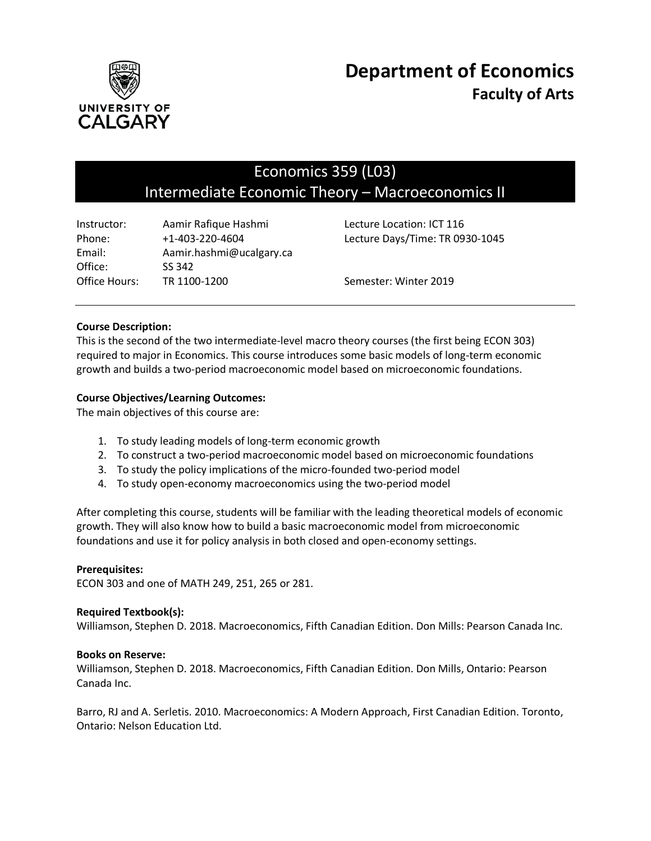

# Economics 359 (L03) Intermediate Economic Theory – Macroeconomics II

| Aamir Rafique Hashmi     | Lecture Locat |
|--------------------------|---------------|
| $+1 - 403 - 220 - 4604$  | Lecture Days  |
| Aamir.hashmi@ucalgary.ca |               |
| SS 342                   |               |
| TR 1100-1200             | Semester: W   |
|                          |               |

tion: ICT 116 /Time: TR 0930-1045

inter 2019

# **Course Description:**

This is the second of the two intermediate-level macro theory courses (the first being ECON 303) required to major in Economics. This course introduces some basic models of long-term economic growth and builds a two-period macroeconomic model based on microeconomic foundations.

# **Course Objectives/Learning Outcomes:**

The main objectives of this course are:

- 1. To study leading models of long-term economic growth
- 2. To construct a two-period macroeconomic model based on microeconomic foundations
- 3. To study the policy implications of the micro-founded two-period model
- 4. To study open-economy macroeconomics using the two-period model

After completing this course, students will be familiar with the leading theoretical models of economic growth. They will also know how to build a basic macroeconomic model from microeconomic foundations and use it for policy analysis in both closed and open-economy settings.

# **Prerequisites:**

ECON 303 and one of MATH 249, 251, 265 or 281.

# **Required Textbook(s):**

Williamson, Stephen D. 2018. Macroeconomics, Fifth Canadian Edition. Don Mills: Pearson Canada Inc.

# **Books on Reserve:**

Williamson, Stephen D. 2018. Macroeconomics, Fifth Canadian Edition. Don Mills, Ontario: Pearson Canada Inc.

Barro, RJ and A. Serletis. 2010. Macroeconomics: A Modern Approach, First Canadian Edition. Toronto, Ontario: Nelson Education Ltd.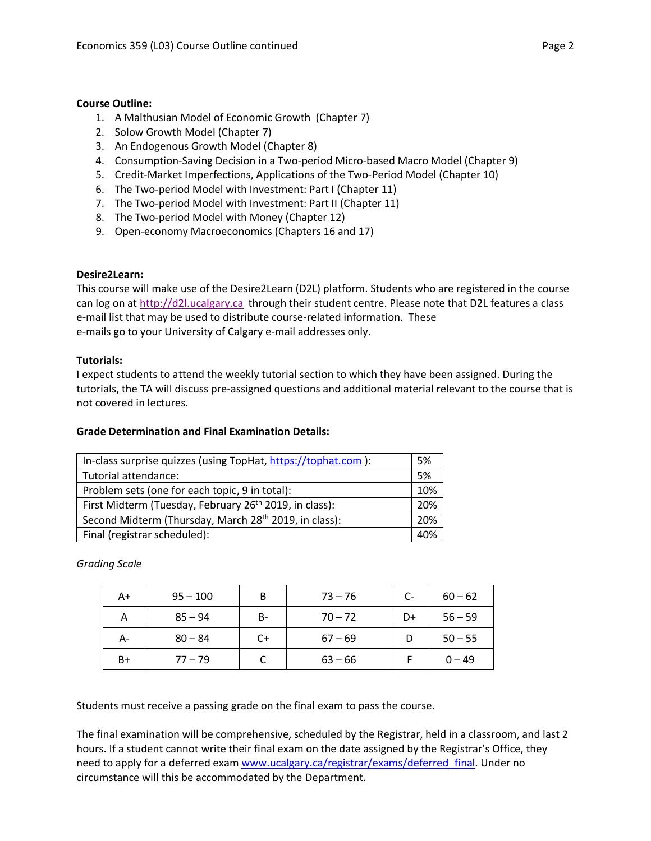# **Course Outline:**

- 1. A Malthusian Model of Economic Growth (Chapter 7)
- 2. Solow Growth Model (Chapter 7)
- 3. An Endogenous Growth Model (Chapter 8)
- 4. Consumption-Saving Decision in a Two-period Micro-based Macro Model (Chapter 9)
- 5. Credit-Market Imperfections, Applications of the Two-Period Model (Chapter 10)
- 6. The Two-period Model with Investment: Part I (Chapter 11)
- 7. The Two-period Model with Investment: Part II (Chapter 11)
- 8. The Two-period Model with Money (Chapter 12)
- 9. Open-economy Macroeconomics (Chapters 16 and 17)

# **Desire2Learn:**

This course will make use of the Desire2Learn (D2L) platform. Students who are registered in the course can log on at [http://d2l.ucalgary.ca](http://d2l.ucalgary.ca/) through their student centre. Please note that D2L features a class e-mail list that may be used to distribute course-related information. These e-mails go to your University of Calgary e-mail addresses only.

# **Tutorials:**

I expect students to attend the weekly tutorial section to which they have been assigned. During the tutorials, the TA will discuss pre-assigned questions and additional material relevant to the course that is not covered in lectures.

# **Grade Determination and Final Examination Details:**

| In-class surprise quizzes (using TopHat, https://tophat.com ):     | 5%  |
|--------------------------------------------------------------------|-----|
| Tutorial attendance:                                               | 5%  |
| Problem sets (one for each topic, 9 in total):                     | 10% |
| First Midterm (Tuesday, February 26 <sup>th</sup> 2019, in class): | 20% |
| Second Midterm (Thursday, March 28 <sup>th</sup> 2019, in class):  | 20% |
| Final (registrar scheduled):                                       | 40% |

*Grading Scale*

| A+   | $95 - 100$ | B  | $73 - 76$ | C- | $60 - 62$ |
|------|------------|----|-----------|----|-----------|
| Α    | $85 - 94$  | B- | $70 - 72$ | D+ | $56 - 59$ |
| А-   | $80 - 84$  | C+ | $67 - 69$ | D  | $50 - 55$ |
| $B+$ | $77 - 79$  |    | $63 - 66$ |    | $0 - 49$  |

Students must receive a passing grade on the final exam to pass the course.

The final examination will be comprehensive, scheduled by the Registrar, held in a classroom, and last 2 hours. If a student cannot write their final exam on the date assigned by the Registrar's Office, they need to apply for a deferred exam www.ucalgary.ca/registrar/exams/deferred final. Under no circumstance will this be accommodated by the Department.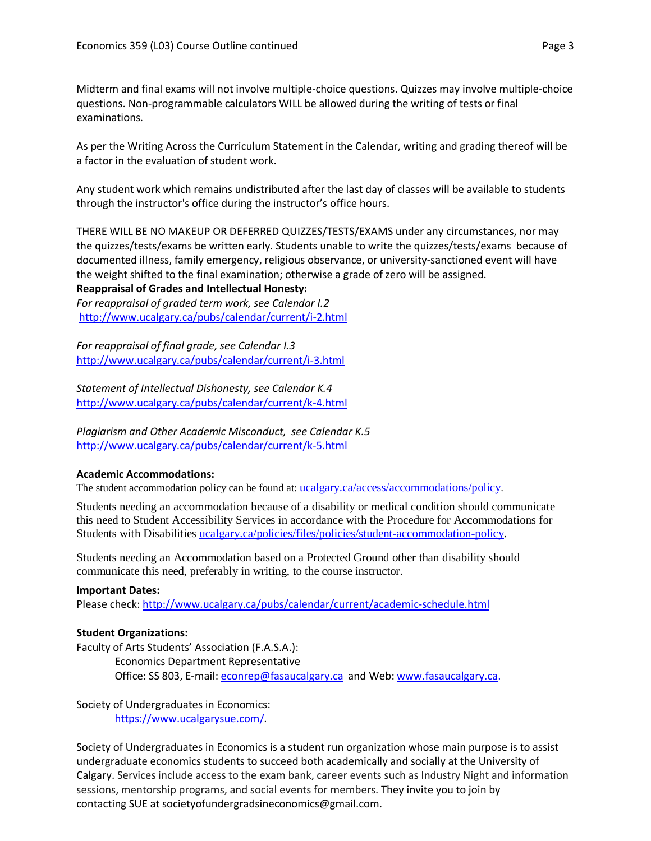Midterm and final exams will not involve multiple-choice questions. Quizzes may involve multiple-choice questions. Non-programmable calculators WILL be allowed during the writing of tests or final examinations.

As per the Writing Across the Curriculum Statement in the Calendar, writing and grading thereof will be a factor in the evaluation of student work.

Any student work which remains undistributed after the last day of classes will be available to students through the instructor's office during the instructor's office hours.

THERE WILL BE NO MAKEUP OR DEFERRED QUIZZES/TESTS/EXAMS under any circumstances, nor may the quizzes/tests/exams be written early. Students unable to write the quizzes/tests/exams because of documented illness, family emergency, religious observance, or university-sanctioned event will have the weight shifted to the final examination; otherwise a grade of zero will be assigned.

#### **Reappraisal of Grades and Intellectual Honesty:**

*For reappraisal of graded term work, see Calendar I.2* <http://www.ucalgary.ca/pubs/calendar/current/i-2.html>

*For reappraisal of final grade, see Calendar I.3* <http://www.ucalgary.ca/pubs/calendar/current/i-3.html>

*Statement of Intellectual Dishonesty, see Calendar K.4* <http://www.ucalgary.ca/pubs/calendar/current/k-4.html>

*Plagiarism and Other Academic Misconduct, see Calendar K.5* <http://www.ucalgary.ca/pubs/calendar/current/k-5.html>

# **Academic Accommodations:**

The student accommodation policy can be found at: [ucalgary.ca/access/accommodations/policy.](http://www.ucalgary.ca/access/accommodations/policy)

Students needing an accommodation because of a disability or medical condition should communicate this need to Student Accessibility Services in accordance with the Procedure for Accommodations for Students with Disabilities [ucalgary.ca/policies/files/policies/student-accommodation-policy.](http://www.ucalgary.ca/policies/files/policies/student-accommodation-policy.pdf)

Students needing an Accommodation based on a Protected Ground other than disability should communicate this need, preferably in writing, to the course instructor.

#### **Important Dates:**

Please check:<http://www.ucalgary.ca/pubs/calendar/current/academic-schedule.html>

# **Student Organizations:**

Faculty of Arts Students' Association (F.A.S.A.):

Economics Department Representative Office: SS 803, E-mail: [econrep@fasaucalgary.ca](mailto:econrep@fasaucalgary.ca) and Web[: www.fasaucalgary.ca.](http://www.fasaucalgary.ca/)

Society of Undergraduates in Economics: [https://www.ucalgarysue.com/.](https://www.ucalgarysue.com/)

Society of Undergraduates in Economics is a student run organization whose main purpose is to assist undergraduate economics students to succeed both academically and socially at the University of Calgary. Services include access to the exam bank, career events such as Industry Night and information sessions, mentorship programs, and social events for members. They invite you to join by contacting SUE at societyofundergradsineconomics@gmail.com.